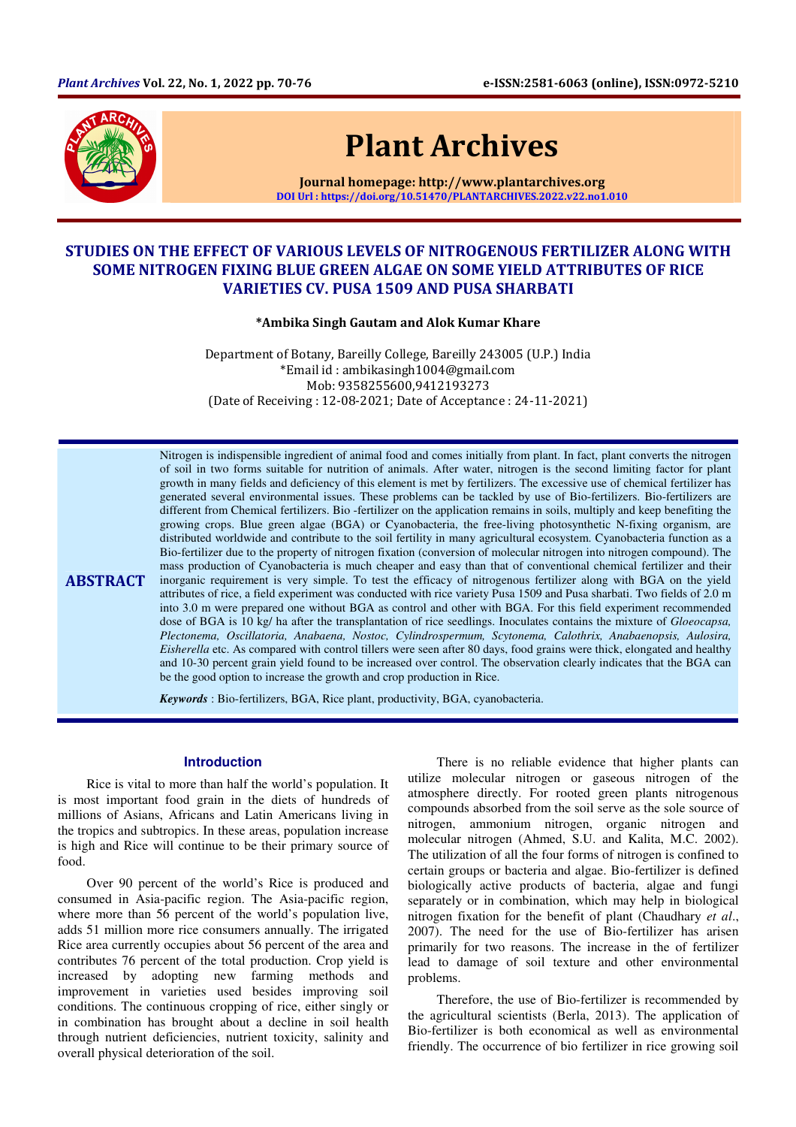

# Plant Archives

Journal homepage: http://www.plantarchives.org DOI Url : https://doi.org/10.51470/PLANTARCHIVES.2022.v22.no1.010

## STUDIES ON THE EFFECT OF VARIOUS LEVELS OF NITROGENOUS FERTILIZER ALONG WITH SOME NITROGEN FIXING BLUE GREEN ALGAE ON SOME YIELD ATTRIBUTES OF RICE VARIETIES CV. PUSA 1509 AND PUSA SHARBATI

\*Ambika Singh Gautam and Alok Kumar Khare

Department of Botany, Bareilly College, Bareilly 243005 (U.P.) India \*Email id : ambikasingh1004@gmail.com Mob: 9358255600,9412193273 (Date of Receiving : 12-08-2021; Date of Acceptance : 24-11-2021)

**ABSTRACT** Nitrogen is indispensible ingredient of animal food and comes initially from plant. In fact, plant converts the nitrogen of soil in two forms suitable for nutrition of animals. After water, nitrogen is the second limiting factor for plant growth in many fields and deficiency of this element is met by fertilizers. The excessive use of chemical fertilizer has generated several environmental issues. These problems can be tackled by use of Bio-fertilizers. Bio-fertilizers are different from Chemical fertilizers. Bio -fertilizer on the application remains in soils, multiply and keep benefiting the growing crops. Blue green algae (BGA) or Cyanobacteria, the free-living photosynthetic N-fixing organism, are distributed worldwide and contribute to the soil fertility in many agricultural ecosystem. Cyanobacteria function as a Bio-fertilizer due to the property of nitrogen fixation (conversion of molecular nitrogen into nitrogen compound). The mass production of Cyanobacteria is much cheaper and easy than that of conventional chemical fertilizer and their inorganic requirement is very simple. To test the efficacy of nitrogenous fertilizer along with BGA on the yield attributes of rice, a field experiment was conducted with rice variety Pusa 1509 and Pusa sharbati. Two fields of 2.0 m into 3.0 m were prepared one without BGA as control and other with BGA. For this field experiment recommended dose of BGA is 10 kg/ ha after the transplantation of rice seedlings. Inoculates contains the mixture of *Gloeocapsa, Plectonema, Oscillatoria, Anabaena, Nostoc, Cylindrospermum, Scytonema, Calothrix, Anabaenopsis, Aulosira, Eisherella* etc. As compared with control tillers were seen after 80 days, food grains were thick, elongated and healthy and 10-30 percent grain yield found to be increased over control. The observation clearly indicates that the BGA can be the good option to increase the growth and crop production in Rice.

*Keywords* : Bio-fertilizers, BGA, Rice plant, productivity, BGA, cyanobacteria.

#### **Introduction**

Rice is vital to more than half the world's population. It is most important food grain in the diets of hundreds of millions of Asians, Africans and Latin Americans living in the tropics and subtropics. In these areas, population increase is high and Rice will continue to be their primary source of food.

Over 90 percent of the world's Rice is produced and consumed in Asia-pacific region. The Asia-pacific region, where more than 56 percent of the world's population live, adds 51 million more rice consumers annually. The irrigated Rice area currently occupies about 56 percent of the area and contributes 76 percent of the total production. Crop yield is increased by adopting new farming methods and improvement in varieties used besides improving soil conditions. The continuous cropping of rice, either singly or in combination has brought about a decline in soil health through nutrient deficiencies, nutrient toxicity, salinity and overall physical deterioration of the soil.

There is no reliable evidence that higher plants can utilize molecular nitrogen or gaseous nitrogen of the atmosphere directly. For rooted green plants nitrogenous compounds absorbed from the soil serve as the sole source of nitrogen, ammonium nitrogen, organic nitrogen and molecular nitrogen (Ahmed, S.U. and Kalita, M.C. 2002). The utilization of all the four forms of nitrogen is confined to certain groups or bacteria and algae. Bio-fertilizer is defined biologically active products of bacteria, algae and fungi separately or in combination, which may help in biological nitrogen fixation for the benefit of plant (Chaudhary *et al*., 2007). The need for the use of Bio-fertilizer has arisen primarily for two reasons. The increase in the of fertilizer lead to damage of soil texture and other environmental problems.

Therefore, the use of Bio-fertilizer is recommended by the agricultural scientists (Berla, 2013). The application of Bio-fertilizer is both economical as well as environmental friendly. The occurrence of bio fertilizer in rice growing soil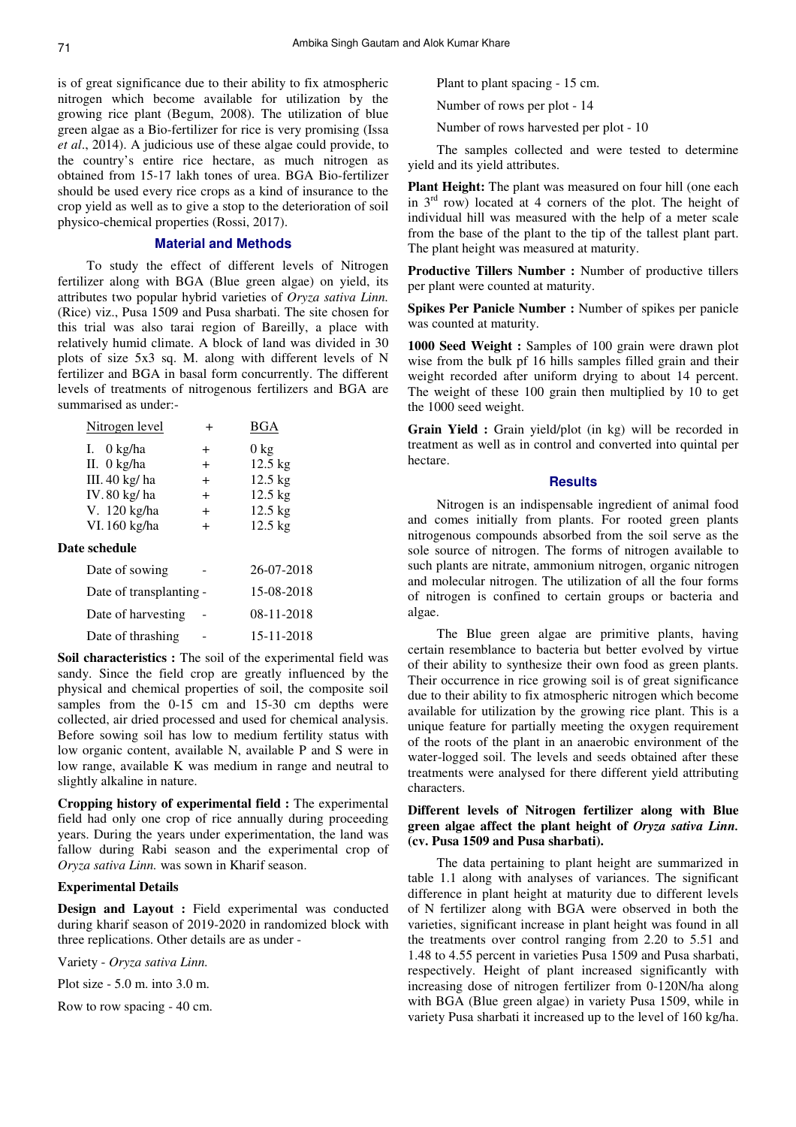is of great significance due to their ability to fix atmospheric nitrogen which become available for utilization by the growing rice plant (Begum, 2008). The utilization of blue green algae as a Bio-fertilizer for rice is very promising (Issa *et al*., 2014). A judicious use of these algae could provide, to the country's entire rice hectare, as much nitrogen as obtained from 15-17 lakh tones of urea. BGA Bio-fertilizer should be used every rice crops as a kind of insurance to the crop yield as well as to give a stop to the deterioration of soil physico-chemical properties (Rossi, 2017).

#### **Material and Methods**

To study the effect of different levels of Nitrogen fertilizer along with BGA (Blue green algae) on yield, its attributes two popular hybrid varieties of *Oryza sativa Linn.* (Rice) viz., Pusa 1509 and Pusa sharbati. The site chosen for this trial was also tarai region of Bareilly, a place with relatively humid climate. A block of land was divided in 30 plots of size 5x3 sq. M. along with different levels of N fertilizer and BGA in basal form concurrently. The different levels of treatments of nitrogenous fertilizers and BGA are summarised as under:-

| Nitrogen level          |           | BGA        |
|-------------------------|-----------|------------|
| I. $0 \text{ kg/ha}$    | $\ddot{}$ | 0 kg       |
| II. $0 \text{ kg/ha}$   | $\ddot{}$ | 12.5 kg    |
| III. $40 \text{ kg/ha}$ | $\ddot{}$ | 12.5 kg    |
| IV.80 kg/ha             | $\ddot{}$ | 12.5 kg    |
| V. 120 kg/ha            | $\ddot{}$ | 12.5 kg    |
| VI. 160 kg/ha           | $\pm$     | 12.5 kg    |
| Date schedule           |           |            |
| Date of cowing          |           | 26.07.2018 |

| Date of sowing          | 20-07-2010 |
|-------------------------|------------|
| Date of transplanting - | 15-08-2018 |
| Date of harvesting      | 08-11-2018 |
| Date of thrashing       | 15-11-2018 |

**Soil characteristics :** The soil of the experimental field was sandy. Since the field crop are greatly influenced by the physical and chemical properties of soil, the composite soil samples from the 0-15 cm and 15-30 cm depths were collected, air dried processed and used for chemical analysis. Before sowing soil has low to medium fertility status with low organic content, available N, available P and S were in low range, available K was medium in range and neutral to slightly alkaline in nature.

**Cropping history of experimental field :** The experimental field had only one crop of rice annually during proceeding years. During the years under experimentation, the land was fallow during Rabi season and the experimental crop of *Oryza sativa Linn.* was sown in Kharif season.

#### **Experimental Details**

**Design and Layout :** Field experimental was conducted during kharif season of 2019-2020 in randomized block with three replications. Other details are as under -

Variety - *Oryza sativa Linn.*

Plot size - 5.0 m. into 3.0 m.

Row to row spacing - 40 cm.

Plant to plant spacing - 15 cm.

Number of rows per plot - 14

Number of rows harvested per plot - 10

The samples collected and were tested to determine yield and its yield attributes.

**Plant Height:** The plant was measured on four hill (one each in  $3<sup>rd</sup>$  row) located at 4 corners of the plot. The height of individual hill was measured with the help of a meter scale from the base of the plant to the tip of the tallest plant part. The plant height was measured at maturity.

**Productive Tillers Number :** Number of productive tillers per plant were counted at maturity.

**Spikes Per Panicle Number :** Number of spikes per panicle was counted at maturity.

**1000 Seed Weight :** Samples of 100 grain were drawn plot wise from the bulk pf 16 hills samples filled grain and their weight recorded after uniform drying to about 14 percent. The weight of these 100 grain then multiplied by 10 to get the 1000 seed weight.

**Grain Yield :** Grain yield/plot (in kg) will be recorded in treatment as well as in control and converted into quintal per hectare.

#### **Results**

Nitrogen is an indispensable ingredient of animal food and comes initially from plants. For rooted green plants nitrogenous compounds absorbed from the soil serve as the sole source of nitrogen. The forms of nitrogen available to such plants are nitrate, ammonium nitrogen, organic nitrogen and molecular nitrogen. The utilization of all the four forms of nitrogen is confined to certain groups or bacteria and algae.

The Blue green algae are primitive plants, having certain resemblance to bacteria but better evolved by virtue of their ability to synthesize their own food as green plants. Their occurrence in rice growing soil is of great significance due to their ability to fix atmospheric nitrogen which become available for utilization by the growing rice plant. This is a unique feature for partially meeting the oxygen requirement of the roots of the plant in an anaerobic environment of the water-logged soil. The levels and seeds obtained after these treatments were analysed for there different yield attributing characters.

## **Different levels of Nitrogen fertilizer along with Blue green algae affect the plant height of** *Oryza sativa Linn.* **(cv. Pusa 1509 and Pusa sharbati).**

The data pertaining to plant height are summarized in table 1.1 along with analyses of variances. The significant difference in plant height at maturity due to different levels of N fertilizer along with BGA were observed in both the varieties, significant increase in plant height was found in all the treatments over control ranging from 2.20 to 5.51 and 1.48 to 4.55 percent in varieties Pusa 1509 and Pusa sharbati, respectively. Height of plant increased significantly with increasing dose of nitrogen fertilizer from 0-120N/ha along with BGA (Blue green algae) in variety Pusa 1509, while in variety Pusa sharbati it increased up to the level of 160 kg/ha.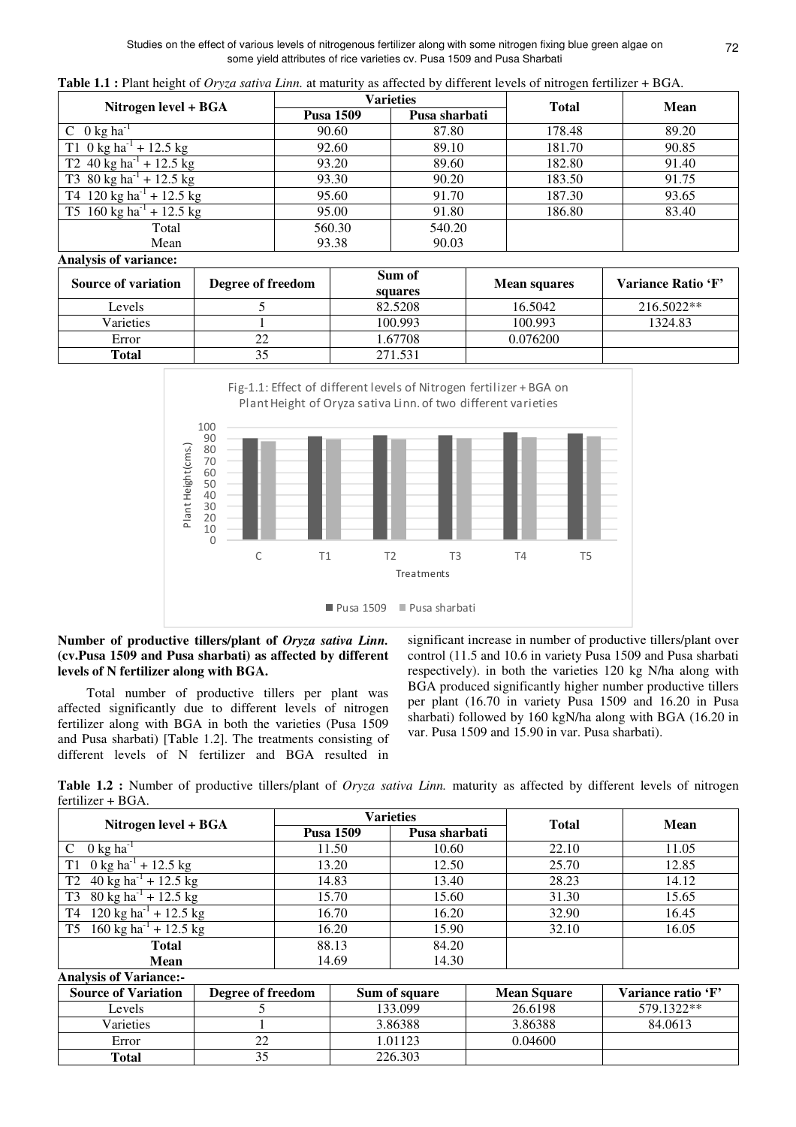Studies on the effect of various levels of nitrogenous fertilizer along with some nitrogen fixing blue green algae on 72 some yield attributes of rice varieties cv. Pusa 1509 and Pusa Sharbati

|  | <b>Table 1.1</b> : Plant height of <i>Oryza sativa Linn</i> , at maturity as affected by different levels of nitrogen fertilizer + BGA. |  |
|--|-----------------------------------------------------------------------------------------------------------------------------------------|--|
|  |                                                                                                                                         |  |

| Nitrogen level + BGA                 | <b>Varieties</b> |               | <b>Total</b> | Mean  |
|--------------------------------------|------------------|---------------|--------------|-------|
|                                      | <b>Pusa 1509</b> | Pusa sharbati |              |       |
| C $0 \text{ kg ha}^{-1}$             | 90.60            | 87.80         | 178.48       | 89.20 |
| T1 0 kg ha <sup>-1</sup> + 12.5 kg   | 92.60            | 89.10         | 181.70       | 90.85 |
| T2 40 kg ha <sup>-1</sup> + 12.5 kg  | 93.20            | 89.60         | 182.80       | 91.40 |
| T3 80 kg ha <sup>-1</sup> + 12.5 kg  | 93.30            | 90.20         | 183.50       | 91.75 |
| T4 120 kg ha <sup>-1</sup> + 12.5 kg | 95.60            | 91.70         | 187.30       | 93.65 |
| T5 160 kg ha <sup>-1</sup> + 12.5 kg | 95.00            | 91.80         | 186.80       | 83.40 |
| Total                                | 560.30           | 540.20        |              |       |
| Mean                                 | 93.38            | 90.03         |              |       |
| Analysis of variance:                |                  |               |              |       |

| <b>Source of variation</b> | Degree of freedom | Sum of<br>squares | <b>Mean squares</b> | Variance Ratio 'F' |
|----------------------------|-------------------|-------------------|---------------------|--------------------|
| Levels                     |                   | 82.5208           | 16.5042             | 216.5022**         |
| Varieties                  |                   | 100.993           | 100.993             | 1324.83            |
| Error                      | 22                | 1.67708           | 0.076200            |                    |
| Total                      |                   | 271.531           |                     |                    |



## **Number of productive tillers/plant of** *Oryza sativa Linn.* **(cv.Pusa 1509 and Pusa sharbati) as affected by different levels of N fertilizer along with BGA.**

Total number of productive tillers per plant was affected significantly due to different levels of nitrogen fertilizer along with BGA in both the varieties (Pusa 1509 and Pusa sharbati) [Table 1.2]. The treatments consisting of different levels of N fertilizer and BGA resulted in

significant increase in number of productive tillers/plant over control (11.5 and 10.6 in variety Pusa 1509 and Pusa sharbati respectively). in both the varieties 120 kg N/ha along with BGA produced significantly higher number productive tillers per plant (16.70 in variety Pusa 1509 and 16.20 in Pusa sharbati) followed by 160 kgN/ha along with BGA (16.20 in var. Pusa 1509 and 15.90 in var. Pusa sharbati).

**Table 1.2 :** Number of productive tillers/plant of *Oryza sativa Linn.* maturity as affected by different levels of nitrogen fertilizer + BGA.

| Nitrogen level + BGA                                                 | <b>Varieties</b> |               | <b>Total</b> | <b>Mean</b> |
|----------------------------------------------------------------------|------------------|---------------|--------------|-------------|
|                                                                      | <b>Pusa 1509</b> | Pusa sharbati |              |             |
| $0 \text{ kg}$ ha                                                    | 11.50            | 10.60         | 22.10        | 11.05       |
| 0 kg ha <sup>-1</sup> + 12.5 kg                                      | 13.20            | 12.50         | 25.70        | 12.85       |
| $40 \text{ kg} \text{ ha}^{-1}$ + 12.5 kg<br>T <sub>2</sub>          | 14.83            | 13.40         | 28.23        | 14.12       |
| $80 \text{ kg} \text{ ha}^{-1}$ + 12.5 kg<br>T3                      | 15.70            | 15.60         | 31.30        | 15.65       |
| $120 \text{ kg} \text{ ha}^{-1}$ + 12.5 kg<br>T4                     | 16.70            | 16.20         | 32.90        | 16.45       |
| $160 \text{ kg} \text{ ha}^{-1} + 12.5 \text{ kg}$<br>T <sub>5</sub> | 16.20            | 15.90         | 32.10        | 16.05       |
| <b>Total</b>                                                         | 88.13            | 84.20         |              |             |
| Mean                                                                 | 14.69            | 14.30         |              |             |

#### **Analysis of Variance:-**

| <b>Source of Variation</b> | Degree of freedom | Sum of square | <b>Mean Square</b> | Variance ratio 'F' |
|----------------------------|-------------------|---------------|--------------------|--------------------|
| Levels                     |                   | 133.099       | 26.6198            | 579.1322**         |
| Varieties                  |                   | 3.86388       | 3.86388            | 84.0613            |
| Error                      | 22                | 1.01123       | 0.04600            |                    |
| <b>Total</b>               |                   | 226.303       |                    |                    |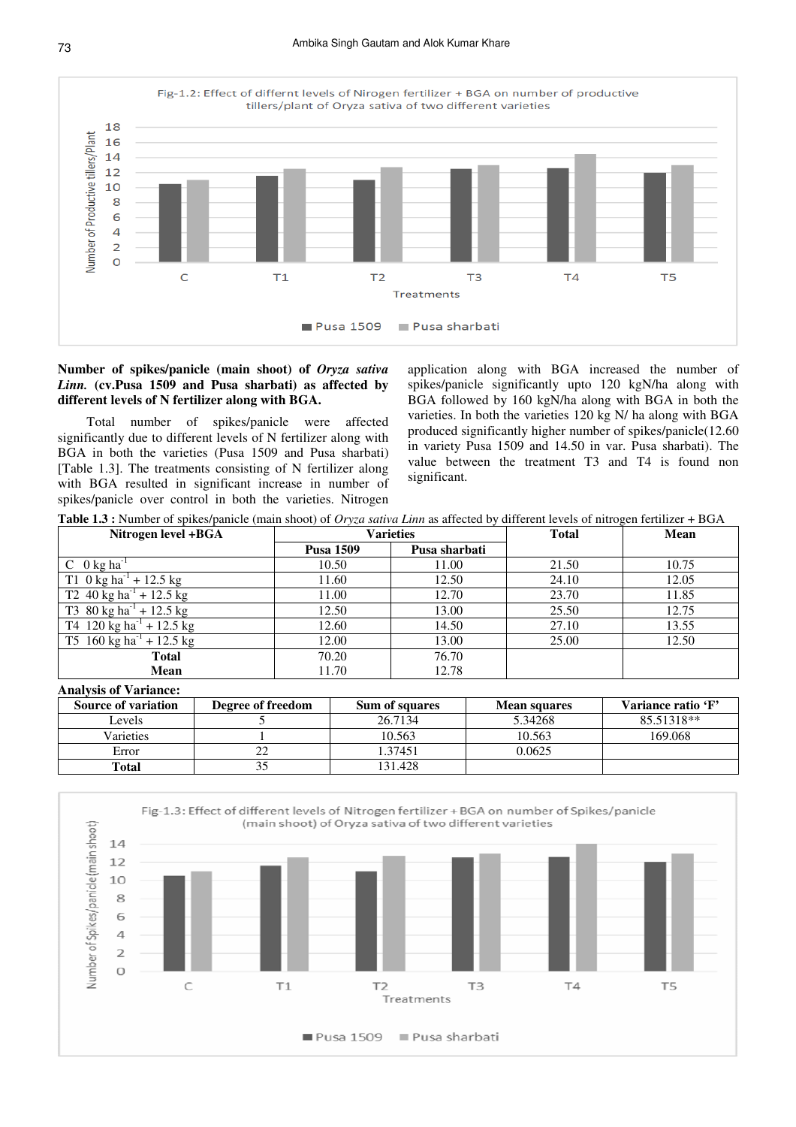

#### **Number of spikes/panicle (main shoot) of** *Oryza sativa Linn.* **(cv.Pusa 1509 and Pusa sharbati) as affected by different levels of N fertilizer along with BGA.**

Total number of spikes/panicle were affected significantly due to different levels of N fertilizer along with BGA in both the varieties (Pusa 1509 and Pusa sharbati) [Table 1.3]. The treatments consisting of N fertilizer along with BGA resulted in significant increase in number of spikes/panicle over control in both the varieties. Nitrogen

application along with BGA increased the number of spikes/panicle significantly upto 120 kgN/ha along with BGA followed by 160 kgN/ha along with BGA in both the varieties. In both the varieties 120 kg N/ ha along with BGA produced significantly higher number of spikes/panicle(12.60 in variety Pusa 1509 and 14.50 in var. Pusa sharbati). The value between the treatment T3 and T4 is found non significant.

**Table 1.3 :** Number of spikes/panicle (main shoot) of *Oryza sativa Linn* as affected by different levels of nitrogen fertilizer + BGA

| Nitrogen level +BGA                             | <b>Varieties</b> |               | <b>Total</b> | Mean  |
|-------------------------------------------------|------------------|---------------|--------------|-------|
|                                                 | <b>Pusa 1509</b> | Pusa sharbati |              |       |
| $C \t0 \text{ kg ha}^{-1}$                      | 10.50            | 11.00         | 21.50        | 10.75 |
| T1 0 kg ha <sup>-1</sup> + 12.5 kg              | 11.60            | 12.50         | 24.10        | 12.05 |
| T <sub>2</sub> 40 kg ha <sup>-1</sup> + 12.5 kg | 11.00            | 12.70         | 23.70        | 11.85 |
| T3 80 kg ha <sup>-1</sup> + 12.5 kg             | 12.50            | 13.00         | 25.50        | 12.75 |
| T4 120 kg ha <sup>-1</sup> + 12.5 kg            | 12.60            | 14.50         | 27.10        | 13.55 |
| T5 160 kg ha <sup>-1</sup> + 12.5 kg            | 12.00            | 13.00         | 25.00        | 12.50 |
| <b>Total</b>                                    | 70.20            | 76.70         |              |       |
| Mean                                            | 11.70            | 12.78         |              |       |

#### **Analysis of Variance:**

| <b>Source of variation</b> | Degree of freedom | <b>Sum of squares</b> | <b>Mean squares</b> | Variance ratio 'F' |
|----------------------------|-------------------|-----------------------|---------------------|--------------------|
| Levels                     |                   | 26.7134               | 5.34268             | 85.51318**         |
| Varieties                  |                   | 10.563                | 10.563              | 169.068            |
| Error                      |                   | .37451                | 0.0625              |                    |
| <b>Total</b>               | 35                | 131.428               |                     |                    |

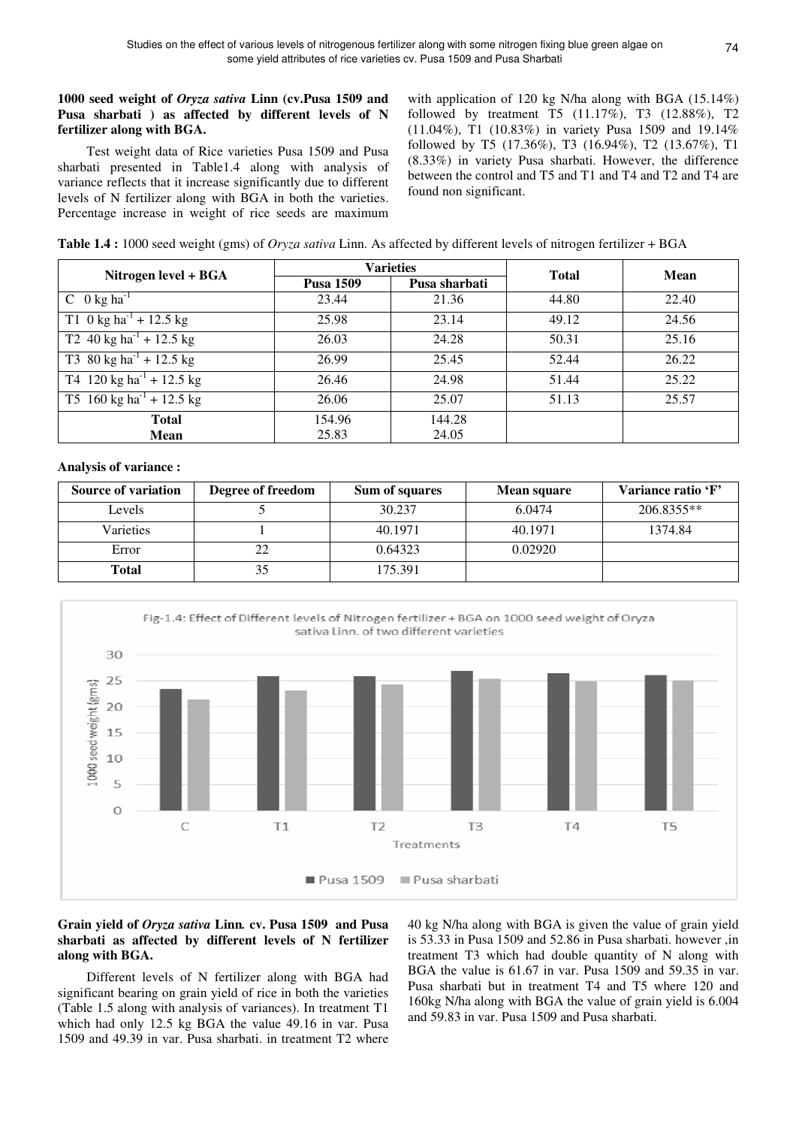## **1000 seed weight of** *Oryza sativa* **Linn (cv.Pusa 1509 and Pusa sharbati ) as affected by different levels of N fertilizer along with BGA.**

Test weight data of Rice varieties Pusa 1509 and Pusa sharbati presented in Table1.4 along with analysis of variance reflects that it increase significantly due to different levels of N fertilizer along with BGA in both the varieties. Percentage increase in weight of rice seeds are maximum

with application of 120 kg N/ha along with BGA (15.14%) followed by treatment T5 (11.17%), T3 (12.88%), T2 (11.04%), T1 (10.83%) in variety Pusa 1509 and 19.14% followed by T5 (17.36%), T3 (16.94%), T2 (13.67%), T1 (8.33%) in variety Pusa sharbati. However, the difference between the control and T5 and T1 and T4 and T2 and T4 are found non significant.

|  | Table 1.4 : 1000 seed weight (gms) of Oryza sativa Linn. As affected by different levels of nitrogen fertilizer + BGA |
|--|-----------------------------------------------------------------------------------------------------------------------|
|  |                                                                                                                       |

| Nitrogen level + BGA                                  | <b>Varieties</b> |               | <b>Total</b> | Mean  |
|-------------------------------------------------------|------------------|---------------|--------------|-------|
|                                                       | <b>Pusa 1509</b> | Pusa sharbati |              |       |
| C $0 \text{ kg ha}^{-1}$                              | 23.44            | 21.36         | 44.80        | 22.40 |
| T1 0 kg ha <sup>-1</sup> + 12.5 kg                    | 25.98            | 23.14         | 49.12        | 24.56 |
| T <sub>2</sub> 40 kg ha <sup>-1</sup> + 12.5 kg       | 26.03            | 24.28         | 50.31        | 25.16 |
| T3 80 kg ha <sup>-1</sup> + 12.5 kg                   | 26.99            | 25.45         | 52.44        | 26.22 |
| T4 $120 \text{ kg} \text{ ha}^{-1} + 12.5 \text{ kg}$ | 26.46            | 24.98         | 51.44        | 25.22 |
| T5 160 kg ha <sup>-1</sup> + 12.5 kg                  | 26.06            | 25.07         | 51.13        | 25.57 |
| <b>Total</b>                                          | 154.96           | 144.28        |              |       |
| <b>Mean</b>                                           | 25.83            | 24.05         |              |       |

## **Analysis of variance :**

| <b>Source of variation</b> | Degree of freedom | Sum of squares | Mean square | Variance ratio 'F' |
|----------------------------|-------------------|----------------|-------------|--------------------|
| Levels                     |                   | 30.237         | 6.0474      | 206.8355**         |
| Varieties                  |                   | 40.1971        | 40.1971     | 1374.84            |
| Error                      | 22                | 0.64323        | 0.02920     |                    |
| <b>Total</b>               | 35                | 175.391        |             |                    |



## **Grain yield of** *Oryza sativa* **Linn***.* **cv. Pusa 1509 and Pusa sharbati as affected by different levels of N fertilizer along with BGA.**

Different levels of N fertilizer along with BGA had significant bearing on grain yield of rice in both the varieties (Table 1.5 along with analysis of variances). In treatment T1 which had only 12.5 kg BGA the value 49.16 in var. Pusa 1509 and 49.39 in var. Pusa sharbati. in treatment T2 where 40 kg N/ha along with BGA is given the value of grain yield is 53.33 in Pusa 1509 and 52.86 in Pusa sharbati. however ,in treatment T3 which had double quantity of N along with BGA the value is 61.67 in var. Pusa 1509 and 59.35 in var. Pusa sharbati but in treatment T4 and T5 where 120 and 160kg N/ha along with BGA the value of grain yield is 6.004 and 59.83 in var. Pusa 1509 and Pusa sharbati.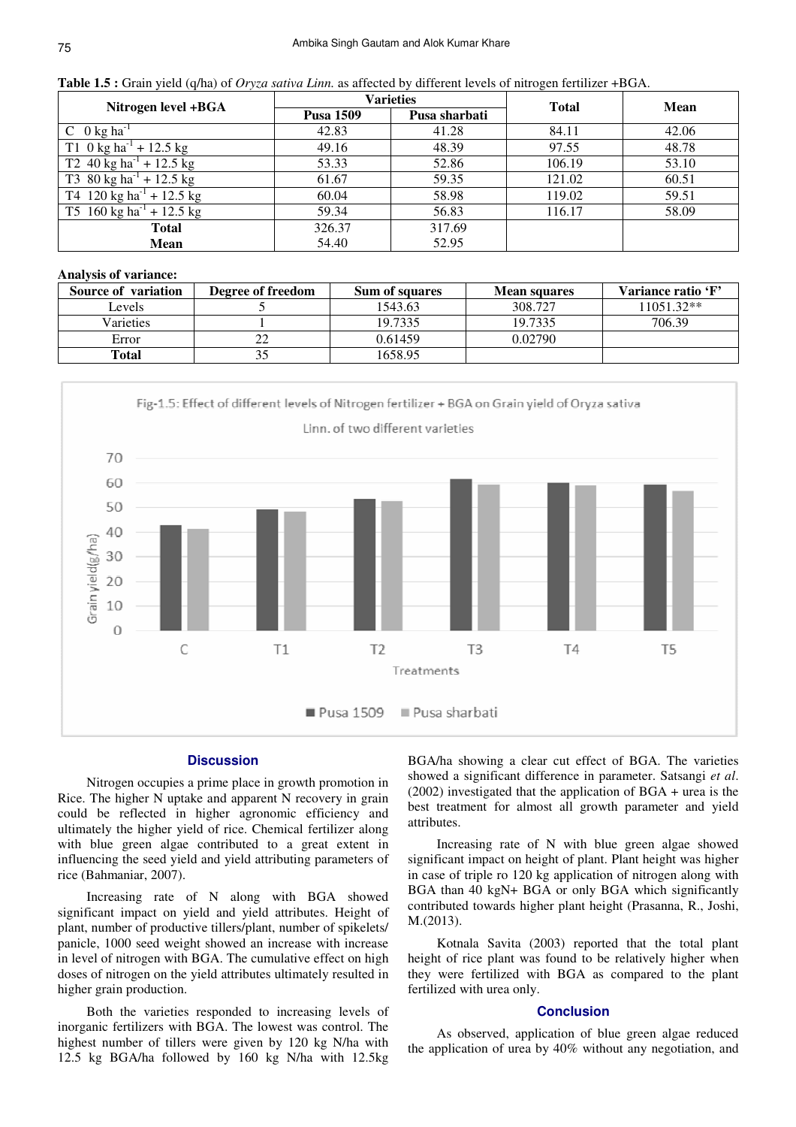|  |  |  |  | <b>Table 1.5 :</b> Grain yield $(q/ha)$ of <i>Oryza sativa Linn</i> . as affected by different levels of nitrogen fertilizer +BGA. |
|--|--|--|--|------------------------------------------------------------------------------------------------------------------------------------|
|--|--|--|--|------------------------------------------------------------------------------------------------------------------------------------|

| Nitrogen level +BGA                  | <b>Varieties</b> |               | <b>Total</b> | Mean  |
|--------------------------------------|------------------|---------------|--------------|-------|
|                                      | <b>Pusa 1509</b> | Pusa sharbati |              |       |
| C $0 \text{ kg ha}^{-1}$             | 42.83            | 41.28         | 84.11        | 42.06 |
| T1 0 kg ha <sup>-1</sup> + 12.5 kg   | 49.16            | 48.39         | 97.55        | 48.78 |
| T2 40 kg ha <sup>-1</sup> + 12.5 kg  | 53.33            | 52.86         | 106.19       | 53.10 |
| T3 80 kg ha <sup>-1</sup> + 12.5 kg  | 61.67            | 59.35         | 121.02       | 60.51 |
| T4 120 kg ha <sup>-1</sup> + 12.5 kg | 60.04            | 58.98         | 119.02       | 59.51 |
| T5 160 kg ha <sup>-1</sup> + 12.5 kg | 59.34            | 56.83         | 116.17       | 58.09 |
| <b>Total</b>                         | 326.37           | 317.69        |              |       |
| Mean                                 | 54.40            | 52.95         |              |       |

#### **Analysis of variance:**

| Source of variation | Degree of freedom | Sum of squares | <b>Mean squares</b> | Variance ratio 'F' |
|---------------------|-------------------|----------------|---------------------|--------------------|
| Levels              |                   | 1543.63        | 308.727             | 11051.32**         |
| Varieties           |                   | 19.7335        | 19.7335             | 706.39             |
| Error               | 22                | 0.61459        | 0.02790             |                    |
| Total               | 35                | 1658.95        |                     |                    |



## **Discussion**

Nitrogen occupies a prime place in growth promotion in Rice. The higher N uptake and apparent N recovery in grain could be reflected in higher agronomic efficiency and ultimately the higher yield of rice. Chemical fertilizer along with blue green algae contributed to a great extent in influencing the seed yield and yield attributing parameters of rice (Bahmaniar, 2007).

Increasing rate of N along with BGA showed significant impact on yield and yield attributes. Height of plant, number of productive tillers/plant, number of spikelets/ panicle, 1000 seed weight showed an increase with increase in level of nitrogen with BGA. The cumulative effect on high doses of nitrogen on the yield attributes ultimately resulted in higher grain production.

Both the varieties responded to increasing levels of inorganic fertilizers with BGA. The lowest was control. The highest number of tillers were given by 120 kg N/ha with 12.5 kg BGA/ha followed by 160 kg N/ha with 12.5kg BGA/ha showing a clear cut effect of BGA. The varieties showed a significant difference in parameter. Satsangi *et al*. (2002) investigated that the application of BGA + urea is the best treatment for almost all growth parameter and yield attributes.

Increasing rate of N with blue green algae showed significant impact on height of plant. Plant height was higher in case of triple ro 120 kg application of nitrogen along with BGA than 40 kgN+ BGA or only BGA which significantly contributed towards higher plant height (Prasanna, R., Joshi, M.(2013).

Kotnala Savita (2003) reported that the total plant height of rice plant was found to be relatively higher when they were fertilized with BGA as compared to the plant fertilized with urea only.

#### **Conclusion**

As observed, application of blue green algae reduced the application of urea by 40% without any negotiation, and